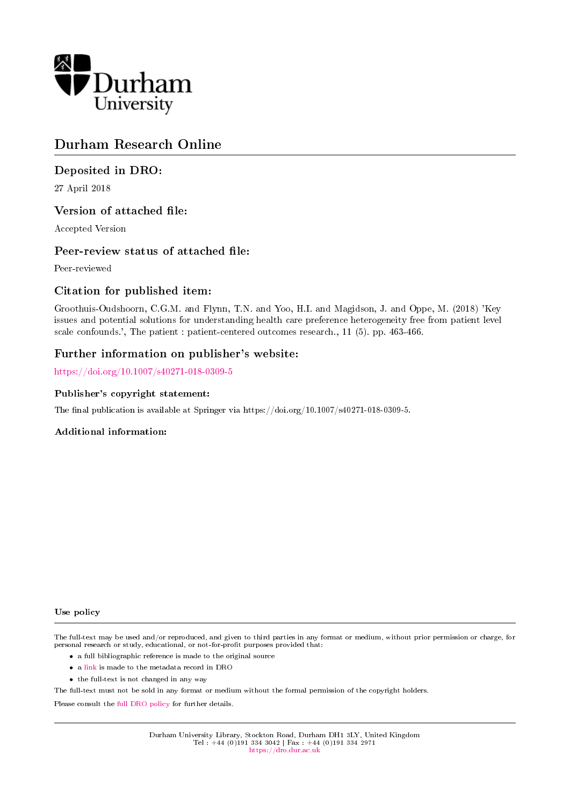

# Durham Research Online

# Deposited in DRO:

27 April 2018

## Version of attached file:

Accepted Version

## Peer-review status of attached file:

Peer-reviewed

# Citation for published item:

Groothuis-Oudshoorn, C.G.M. and Flynn, T.N. and Yoo, H.I. and Magidson, J. and Oppe, M. (2018) 'Key issues and potential solutions for understanding health care preference heterogeneity free from patient level scale confounds.', The patient : patient-centered outcomes research., 11 (5). pp. 463-466.

## Further information on publisher's website:

<https://doi.org/10.1007/s40271-018-0309-5>

### Publisher's copyright statement:

The final publication is available at Springer via https://doi.org/10.1007/s40271-018-0309-5.

### Additional information:

#### Use policy

The full-text may be used and/or reproduced, and given to third parties in any format or medium, without prior permission or charge, for personal research or study, educational, or not-for-profit purposes provided that:

- a full bibliographic reference is made to the original source
- a [link](http://dro.dur.ac.uk/24697/) is made to the metadata record in DRO
- the full-text is not changed in any way

The full-text must not be sold in any format or medium without the formal permission of the copyright holders.

Please consult the [full DRO policy](https://dro.dur.ac.uk/policies/usepolicy.pdf) for further details.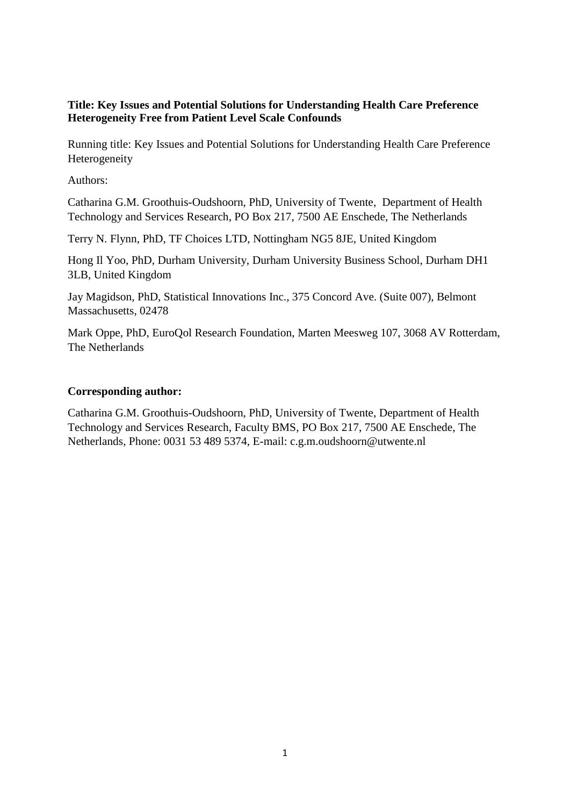# **Title: Key Issues and Potential Solutions for Understanding Health Care Preference Heterogeneity Free from Patient Level Scale Confounds**

Running title: Key Issues and Potential Solutions for Understanding Health Care Preference Heterogeneity

Authors:

Catharina G.M. Groothuis-Oudshoorn, PhD, University of Twente, Department of Health Technology and Services Research, PO Box 217, 7500 AE Enschede, The Netherlands

Terry N. Flynn, PhD, TF Choices LTD, Nottingham NG5 8JE, United Kingdom

Hong Il Yoo, PhD, Durham University, Durham University Business School, Durham DH1 3LB, United Kingdom

Jay Magidson, PhD, Statistical Innovations Inc., 375 Concord Ave. (Suite 007), Belmont Massachusetts, 02478

Mark Oppe, PhD, EuroQol Research Foundation, Marten Meesweg 107, 3068 AV Rotterdam, The Netherlands

# **Corresponding author:**

Catharina G.M. Groothuis-Oudshoorn, PhD, University of Twente, Department of Health Technology and Services Research, Faculty BMS, PO Box 217, 7500 AE Enschede, The Netherlands, Phone: 0031 53 489 5374, E-mail: c.g.m.oudshoorn@utwente.nl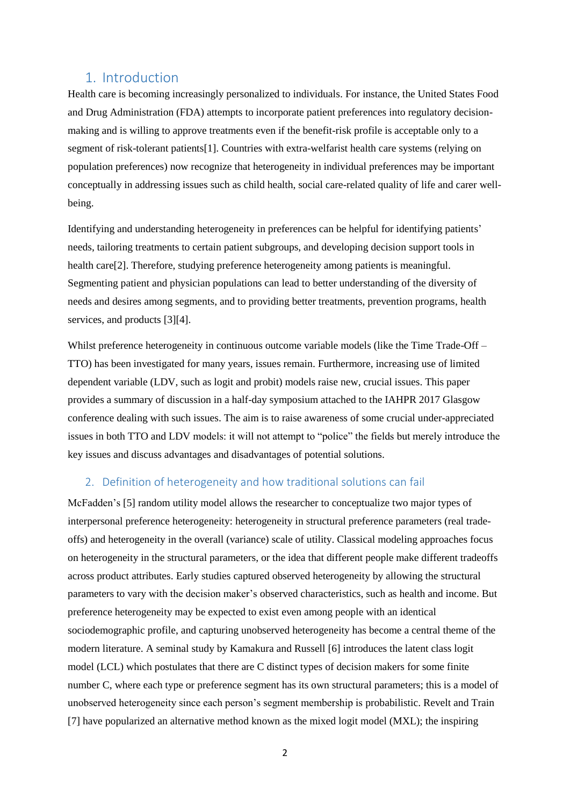# 1. Introduction

Health care is becoming increasingly personalized to individuals. For instance, the United States Food and Drug Administration (FDA) attempts to incorporate patient preferences into regulatory decisionmaking and is willing to approve treatments even if the benefit-risk profile is acceptable only to a segment of risk-tolerant patients[1]. Countries with extra-welfarist health care systems (relying on population preferences) now recognize that heterogeneity in individual preferences may be important conceptually in addressing issues such as child health, social care-related quality of life and carer wellbeing.

Identifying and understanding heterogeneity in preferences can be helpful for identifying patients' needs, tailoring treatments to certain patient subgroups, and developing decision support tools in health care[2]. Therefore, studying preference heterogeneity among patients is meaningful. Segmenting patient and physician populations can lead to better understanding of the diversity of needs and desires among segments, and to providing better treatments, prevention programs, health services, and products [3][4].

Whilst preference heterogeneity in continuous outcome variable models (like the Time Trade-Off – TTO) has been investigated for many years, issues remain. Furthermore, increasing use of limited dependent variable (LDV, such as logit and probit) models raise new, crucial issues. This paper provides a summary of discussion in a half-day symposium attached to the IAHPR 2017 Glasgow conference dealing with such issues. The aim is to raise awareness of some crucial under-appreciated issues in both TTO and LDV models: it will not attempt to "police" the fields but merely introduce the key issues and discuss advantages and disadvantages of potential solutions.

## 2. Definition of heterogeneity and how traditional solutions can fail

McFadden's [5] random utility model allows the researcher to conceptualize two major types of interpersonal preference heterogeneity: heterogeneity in structural preference parameters (real tradeoffs) and heterogeneity in the overall (variance) scale of utility. Classical modeling approaches focus on heterogeneity in the structural parameters, or the idea that different people make different tradeoffs across product attributes. Early studies captured observed heterogeneity by allowing the structural parameters to vary with the decision maker's observed characteristics, such as health and income. But preference heterogeneity may be expected to exist even among people with an identical sociodemographic profile, and capturing unobserved heterogeneity has become a central theme of the modern literature. A seminal study by Kamakura and Russell [6] introduces the latent class logit model (LCL) which postulates that there are C distinct types of decision makers for some finite number C, where each type or preference segment has its own structural parameters; this is a model of unobserved heterogeneity since each person's segment membership is probabilistic. Revelt and Train [7] have popularized an alternative method known as the mixed logit model (MXL); the inspiring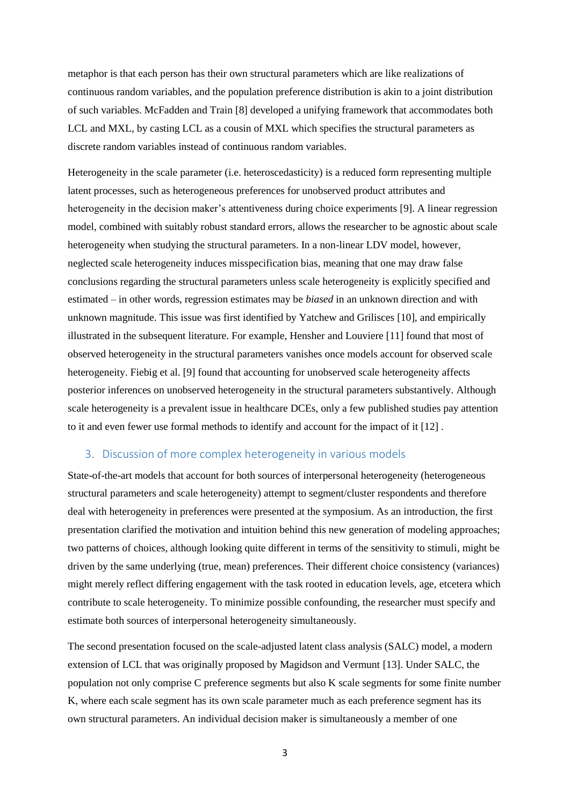metaphor is that each person has their own structural parameters which are like realizations of continuous random variables, and the population preference distribution is akin to a joint distribution of such variables. McFadden and Train [8] developed a unifying framework that accommodates both LCL and MXL, by casting LCL as a cousin of MXL which specifies the structural parameters as discrete random variables instead of continuous random variables.

Heterogeneity in the scale parameter (i.e. heteroscedasticity) is a reduced form representing multiple latent processes, such as heterogeneous preferences for unobserved product attributes and heterogeneity in the decision maker's attentiveness during choice experiments [9]. A linear regression model, combined with suitably robust standard errors, allows the researcher to be agnostic about scale heterogeneity when studying the structural parameters. In a non-linear LDV model, however, neglected scale heterogeneity induces misspecification bias, meaning that one may draw false conclusions regarding the structural parameters unless scale heterogeneity is explicitly specified and estimated – in other words, regression estimates may be *biased* in an unknown direction and with unknown magnitude. This issue was first identified by Yatchew and Grilisces [10], and empirically illustrated in the subsequent literature. For example, Hensher and Louviere [11] found that most of observed heterogeneity in the structural parameters vanishes once models account for observed scale heterogeneity. Fiebig et al. [9] found that accounting for unobserved scale heterogeneity affects posterior inferences on unobserved heterogeneity in the structural parameters substantively. Although scale heterogeneity is a prevalent issue in healthcare DCEs, only a few published studies pay attention to it and even fewer use formal methods to identify and account for the impact of it [12] .

#### 3. Discussion of more complex heterogeneity in various models

State-of-the-art models that account for both sources of interpersonal heterogeneity (heterogeneous structural parameters and scale heterogeneity) attempt to segment/cluster respondents and therefore deal with heterogeneity in preferences were presented at the symposium. As an introduction, the first presentation clarified the motivation and intuition behind this new generation of modeling approaches; two patterns of choices, although looking quite different in terms of the sensitivity to stimuli, might be driven by the same underlying (true, mean) preferences. Their different choice consistency (variances) might merely reflect differing engagement with the task rooted in education levels, age, etcetera which contribute to scale heterogeneity. To minimize possible confounding, the researcher must specify and estimate both sources of interpersonal heterogeneity simultaneously.

The second presentation focused on the scale-adjusted latent class analysis (SALC) model, a modern extension of LCL that was originally proposed by Magidson and Vermunt [13]. Under SALC, the population not only comprise C preference segments but also K scale segments for some finite number K, where each scale segment has its own scale parameter much as each preference segment has its own structural parameters. An individual decision maker is simultaneously a member of one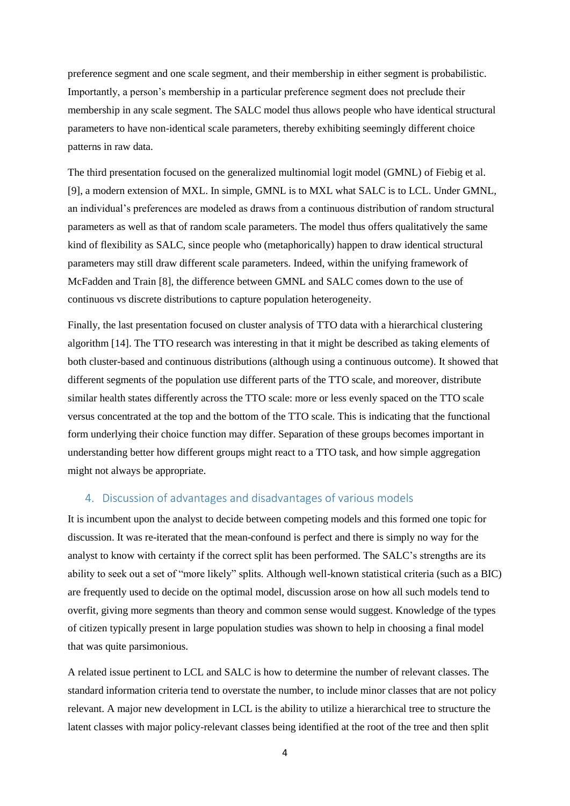preference segment and one scale segment, and their membership in either segment is probabilistic. Importantly, a person's membership in a particular preference segment does not preclude their membership in any scale segment. The SALC model thus allows people who have identical structural parameters to have non-identical scale parameters, thereby exhibiting seemingly different choice patterns in raw data.

The third presentation focused on the generalized multinomial logit model (GMNL) of Fiebig et al. [9], a modern extension of MXL. In simple, GMNL is to MXL what SALC is to LCL. Under GMNL, an individual's preferences are modeled as draws from a continuous distribution of random structural parameters as well as that of random scale parameters. The model thus offers qualitatively the same kind of flexibility as SALC, since people who (metaphorically) happen to draw identical structural parameters may still draw different scale parameters. Indeed, within the unifying framework of McFadden and Train [8], the difference between GMNL and SALC comes down to the use of continuous vs discrete distributions to capture population heterogeneity.

Finally, the last presentation focused on cluster analysis of TTO data with a hierarchical clustering algorithm [14]. The TTO research was interesting in that it might be described as taking elements of both cluster-based and continuous distributions (although using a continuous outcome). It showed that different segments of the population use different parts of the TTO scale, and moreover, distribute similar health states differently across the TTO scale: more or less evenly spaced on the TTO scale versus concentrated at the top and the bottom of the TTO scale. This is indicating that the functional form underlying their choice function may differ. Separation of these groups becomes important in understanding better how different groups might react to a TTO task, and how simple aggregation might not always be appropriate.

### 4. Discussion of advantages and disadvantages of various models

It is incumbent upon the analyst to decide between competing models and this formed one topic for discussion. It was re-iterated that the mean-confound is perfect and there is simply no way for the analyst to know with certainty if the correct split has been performed. The SALC's strengths are its ability to seek out a set of "more likely" splits. Although well-known statistical criteria (such as a BIC) are frequently used to decide on the optimal model, discussion arose on how all such models tend to overfit, giving more segments than theory and common sense would suggest. Knowledge of the types of citizen typically present in large population studies was shown to help in choosing a final model that was quite parsimonious.

A related issue pertinent to LCL and SALC is how to determine the number of relevant classes. The standard information criteria tend to overstate the number, to include minor classes that are not policy relevant. A major new development in LCL is the ability to utilize a hierarchical tree to structure the latent classes with major policy-relevant classes being identified at the root of the tree and then split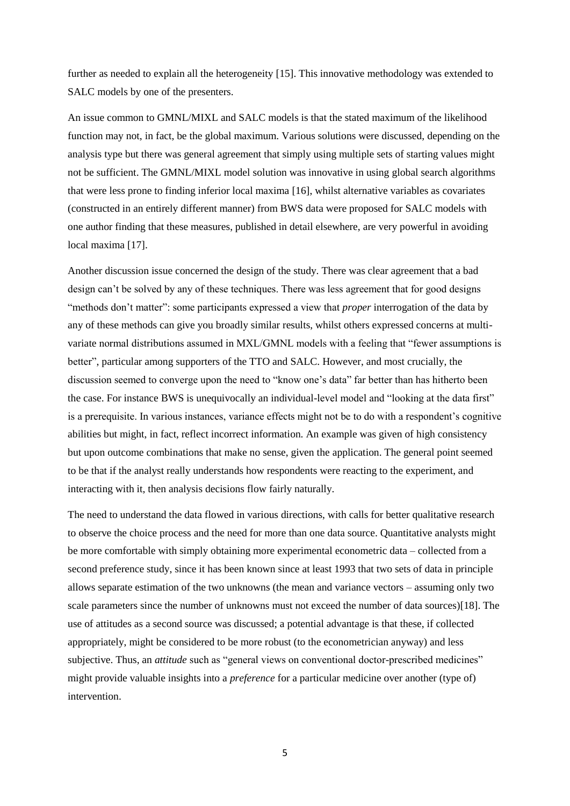further as needed to explain all the heterogeneity [15]. This innovative methodology was extended to SALC models by one of the presenters.

An issue common to GMNL/MIXL and SALC models is that the stated maximum of the likelihood function may not, in fact, be the global maximum. Various solutions were discussed, depending on the analysis type but there was general agreement that simply using multiple sets of starting values might not be sufficient. The GMNL/MIXL model solution was innovative in using global search algorithms that were less prone to finding inferior local maxima [16], whilst alternative variables as covariates (constructed in an entirely different manner) from BWS data were proposed for SALC models with one author finding that these measures, published in detail elsewhere, are very powerful in avoiding local maxima [17].

Another discussion issue concerned the design of the study. There was clear agreement that a bad design can't be solved by any of these techniques. There was less agreement that for good designs "methods don't matter": some participants expressed a view that *proper* interrogation of the data by any of these methods can give you broadly similar results, whilst others expressed concerns at multivariate normal distributions assumed in MXL/GMNL models with a feeling that "fewer assumptions is better", particular among supporters of the TTO and SALC. However, and most crucially, the discussion seemed to converge upon the need to "know one's data" far better than has hitherto been the case. For instance BWS is unequivocally an individual-level model and "looking at the data first" is a prerequisite. In various instances, variance effects might not be to do with a respondent's cognitive abilities but might, in fact, reflect incorrect information. An example was given of high consistency but upon outcome combinations that make no sense, given the application. The general point seemed to be that if the analyst really understands how respondents were reacting to the experiment, and interacting with it, then analysis decisions flow fairly naturally.

The need to understand the data flowed in various directions, with calls for better qualitative research to observe the choice process and the need for more than one data source. Quantitative analysts might be more comfortable with simply obtaining more experimental econometric data – collected from a second preference study, since it has been known since at least 1993 that two sets of data in principle allows separate estimation of the two unknowns (the mean and variance vectors – assuming only two scale parameters since the number of unknowns must not exceed the number of data sources)[18]. The use of attitudes as a second source was discussed; a potential advantage is that these, if collected appropriately, might be considered to be more robust (to the econometrician anyway) and less subjective. Thus, an *attitude* such as "general views on conventional doctor-prescribed medicines" might provide valuable insights into a *preference* for a particular medicine over another (type of) intervention.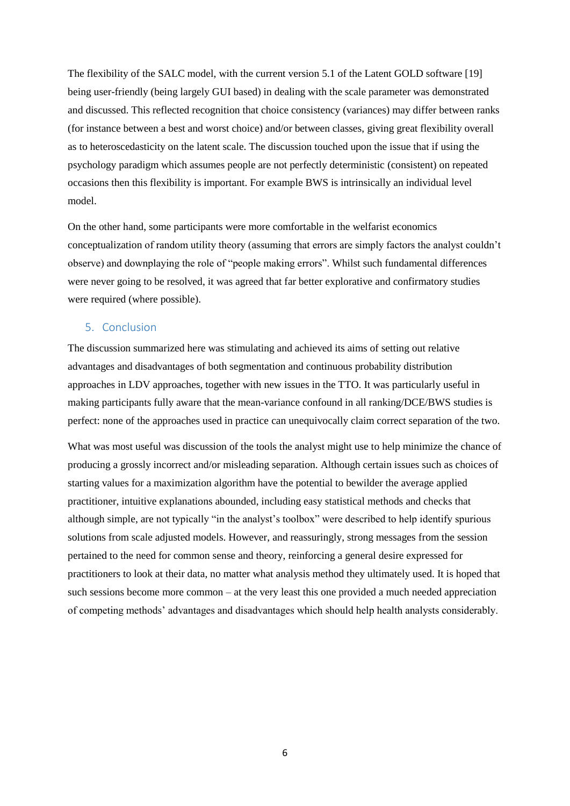The flexibility of the SALC model, with the current version 5.1 of the Latent GOLD software [19] being user-friendly (being largely GUI based) in dealing with the scale parameter was demonstrated and discussed. This reflected recognition that choice consistency (variances) may differ between ranks (for instance between a best and worst choice) and/or between classes, giving great flexibility overall as to heteroscedasticity on the latent scale. The discussion touched upon the issue that if using the psychology paradigm which assumes people are not perfectly deterministic (consistent) on repeated occasions then this flexibility is important. For example BWS is intrinsically an individual level model.

On the other hand, some participants were more comfortable in the welfarist economics conceptualization of random utility theory (assuming that errors are simply factors the analyst couldn't observe) and downplaying the role of "people making errors". Whilst such fundamental differences were never going to be resolved, it was agreed that far better explorative and confirmatory studies were required (where possible).

#### 5. Conclusion

The discussion summarized here was stimulating and achieved its aims of setting out relative advantages and disadvantages of both segmentation and continuous probability distribution approaches in LDV approaches, together with new issues in the TTO. It was particularly useful in making participants fully aware that the mean-variance confound in all ranking/DCE/BWS studies is perfect: none of the approaches used in practice can unequivocally claim correct separation of the two.

What was most useful was discussion of the tools the analyst might use to help minimize the chance of producing a grossly incorrect and/or misleading separation. Although certain issues such as choices of starting values for a maximization algorithm have the potential to bewilder the average applied practitioner, intuitive explanations abounded, including easy statistical methods and checks that although simple, are not typically "in the analyst's toolbox" were described to help identify spurious solutions from scale adjusted models. However, and reassuringly, strong messages from the session pertained to the need for common sense and theory, reinforcing a general desire expressed for practitioners to look at their data, no matter what analysis method they ultimately used. It is hoped that such sessions become more common – at the very least this one provided a much needed appreciation of competing methods' advantages and disadvantages which should help health analysts considerably.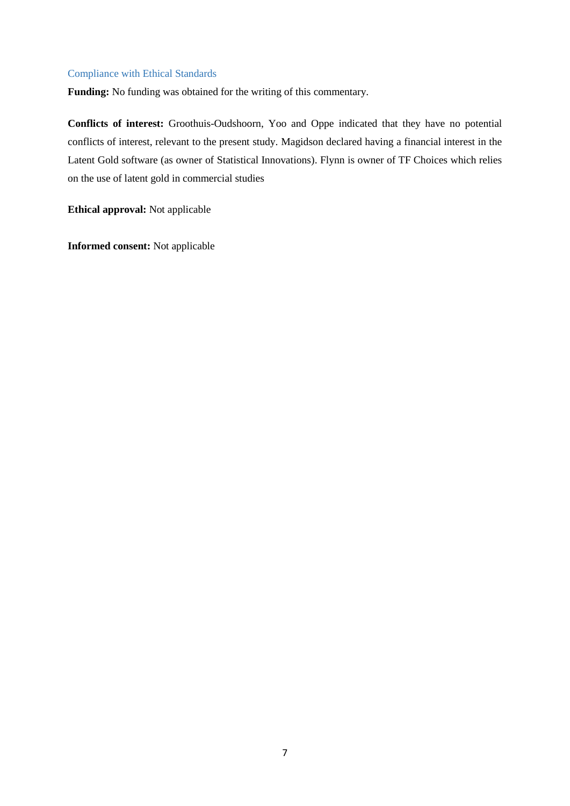## Compliance with Ethical Standards

**Funding:** No funding was obtained for the writing of this commentary.

**Conflicts of interest:** Groothuis-Oudshoorn, Yoo and Oppe indicated that they have no potential conflicts of interest, relevant to the present study. Magidson declared having a financial interest in the Latent Gold software (as owner of Statistical Innovations). Flynn is owner of TF Choices which relies on the use of latent gold in commercial studies

**Ethical approval:** Not applicable

**Informed consent:** Not applicable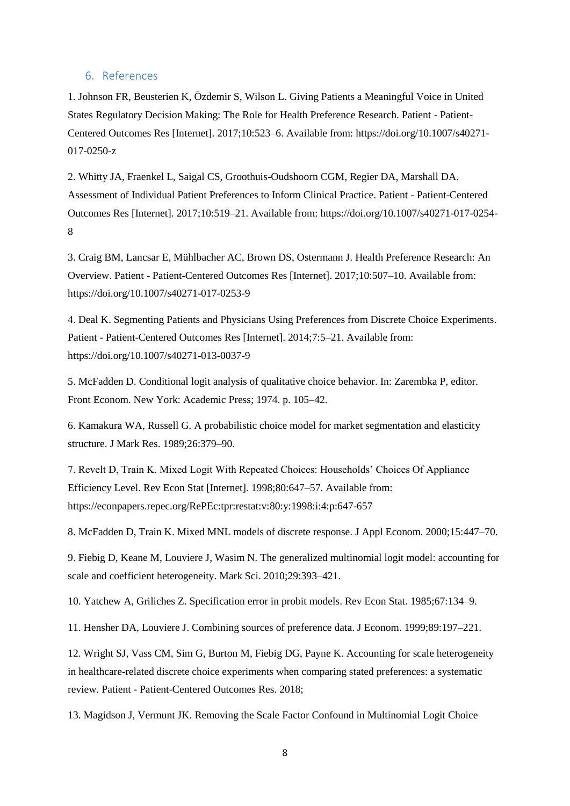#### 6. References

1. Johnson FR, Beusterien K, Özdemir S, Wilson L. Giving Patients a Meaningful Voice in United States Regulatory Decision Making: The Role for Health Preference Research. Patient - Patient-Centered Outcomes Res [Internet]. 2017;10:523–6. Available from: https://doi.org/10.1007/s40271- 017-0250-z

2. Whitty JA, Fraenkel L, Saigal CS, Groothuis-Oudshoorn CGM, Regier DA, Marshall DA. Assessment of Individual Patient Preferences to Inform Clinical Practice. Patient - Patient-Centered Outcomes Res [Internet]. 2017;10:519–21. Available from: https://doi.org/10.1007/s40271-017-0254- 8

3. Craig BM, Lancsar E, Mühlbacher AC, Brown DS, Ostermann J. Health Preference Research: An Overview. Patient - Patient-Centered Outcomes Res [Internet]. 2017;10:507–10. Available from: https://doi.org/10.1007/s40271-017-0253-9

4. Deal K. Segmenting Patients and Physicians Using Preferences from Discrete Choice Experiments. Patient - Patient-Centered Outcomes Res [Internet]. 2014;7:5–21. Available from: https://doi.org/10.1007/s40271-013-0037-9

5. McFadden D. Conditional logit analysis of qualitative choice behavior. In: Zarembka P, editor. Front Econom. New York: Academic Press; 1974. p. 105–42.

6. Kamakura WA, Russell G. A probabilistic choice model for market segmentation and elasticity structure. J Mark Res. 1989;26:379–90.

7. Revelt D, Train K. Mixed Logit With Repeated Choices: Households' Choices Of Appliance Efficiency Level. Rev Econ Stat [Internet]. 1998;80:647–57. Available from: https://econpapers.repec.org/RePEc:tpr:restat:v:80:y:1998:i:4:p:647-657

8. McFadden D, Train K. Mixed MNL models of discrete response. J Appl Econom. 2000;15:447–70.

9. Fiebig D, Keane M, Louviere J, Wasim N. The generalized multinomial logit model: accounting for scale and coefficient heterogeneity. Mark Sci. 2010;29:393–421.

10. Yatchew A, Griliches Z. Specification error in probit models. Rev Econ Stat. 1985;67:134–9.

11. Hensher DA, Louviere J. Combining sources of preference data. J Econom. 1999;89:197–221.

12. Wright SJ, Vass CM, Sim G, Burton M, Fiebig DG, Payne K. Accounting for scale heterogeneity in healthcare-related discrete choice experiments when comparing stated preferences: a systematic review. Patient - Patient-Centered Outcomes Res. 2018;

13. Magidson J, Vermunt JK. Removing the Scale Factor Confound in Multinomial Logit Choice